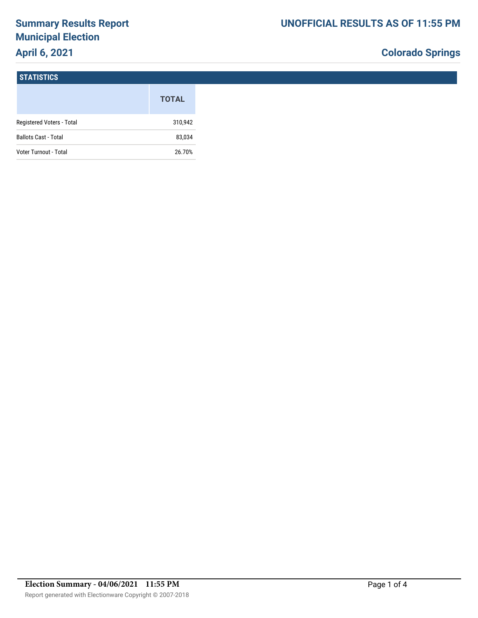# **Summary Results Report Municipal Election April 6, 2021**

# **Colorado Springs**

#### **STATISTICS**

|                             | <b>TOTAL</b> |
|-----------------------------|--------------|
| Registered Voters - Total   | 310,942      |
| <b>Ballots Cast - Total</b> | 83,034       |
| Voter Turnout - Total       | 26.70%       |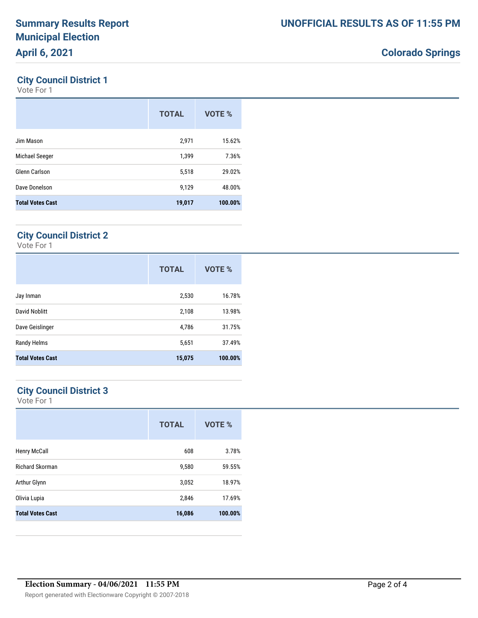## **Colorado Springs**

### **City Council District 1**

Vote For 1

|                         | <b>TOTAL</b> | VOTE %  |
|-------------------------|--------------|---------|
| Jim Mason               | 2,971        | 15.62%  |
| Michael Seeger          | 1,399        | 7.36%   |
| Glenn Carlson           | 5,518        | 29.02%  |
| Dave Donelson           | 9,129        | 48.00%  |
| <b>Total Votes Cast</b> | 19,017       | 100.00% |

### **City Council District 2**

Vote For 1

|                         | <b>TOTAL</b> | VOTE %  |
|-------------------------|--------------|---------|
| Jay Inman               | 2,530        | 16.78%  |
| David Noblitt           | 2,108        | 13.98%  |
| Dave Geislinger         | 4,786        | 31.75%  |
| Randy Helms             | 5,651        | 37.49%  |
| <b>Total Votes Cast</b> | 15,075       | 100.00% |

### **City Council District 3**

Vote For 1

|                         | <b>TOTAL</b> | VOTE %  |
|-------------------------|--------------|---------|
| <b>Henry McCall</b>     | 608          | 3.78%   |
| <b>Richard Skorman</b>  | 9,580        | 59.55%  |
| Arthur Glynn            | 3,052        | 18.97%  |
| Olivia Lupia            | 2,846        | 17.69%  |
| <b>Total Votes Cast</b> | 16,086       | 100.00% |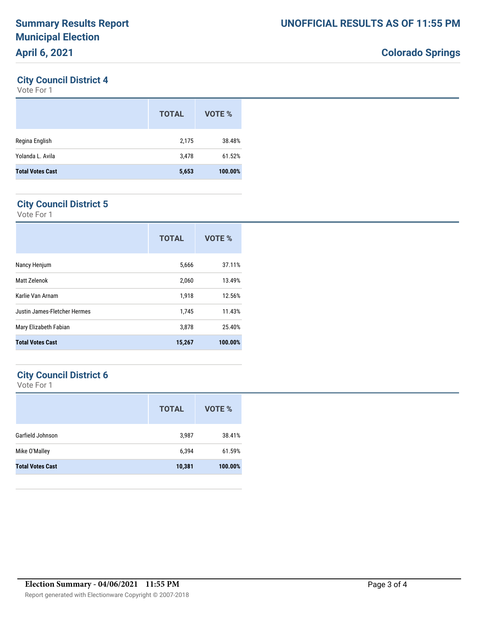## **Colorado Springs**

### **City Council District 4**

Vote For 1

|                         | <b>TOTAL</b> | VOTE %  |
|-------------------------|--------------|---------|
| Regina English          | 2,175        | 38.48%  |
| Yolanda L. Avila        | 3,478        | 61.52%  |
| <b>Total Votes Cast</b> | 5,653        | 100.00% |
|                         |              |         |

### **City Council District 5**

Vote For 1

|                              | <b>TOTAL</b> | VOTE %  |
|------------------------------|--------------|---------|
| Nancy Henjum                 | 5,666        | 37.11%  |
| Matt Zelenok                 | 2,060        | 13.49%  |
| Karlie Van Arnam             | 1,918        | 12.56%  |
| Justin James-Fletcher Hermes | 1,745        | 11.43%  |
| Mary Elizabeth Fabian        | 3,878        | 25.40%  |
| <b>Total Votes Cast</b>      | 15,267       | 100.00% |

### **City Council District 6**

Vote For 1

|                         | <b>TOTAL</b> | VOTE %  |
|-------------------------|--------------|---------|
| Garfield Johnson        | 3,987        | 38.41%  |
| Mike O'Malley           | 6,394        | 61.59%  |
| <b>Total Votes Cast</b> | 10,381       | 100.00% |